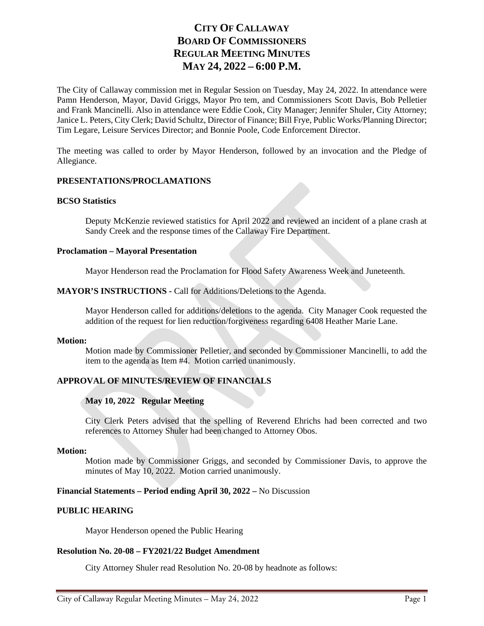# **CITY OF CALLAWAY BOARD OF COMMISSIONERS REGULAR MEETING MINUTES MAY 24, 2022 – 6:00 P.M.**

The City of Callaway commission met in Regular Session on Tuesday, May 24, 2022. In attendance were Pamn Henderson, Mayor, David Griggs, Mayor Pro tem, and Commissioners Scott Davis, Bob Pelletier and Frank Mancinelli. Also in attendance were Eddie Cook, City Manager; Jennifer Shuler, City Attorney; Janice L. Peters, City Clerk; David Schultz, Director of Finance; Bill Frye, Public Works/Planning Director; Tim Legare, Leisure Services Director; and Bonnie Poole, Code Enforcement Director.

The meeting was called to order by Mayor Henderson, followed by an invocation and the Pledge of Allegiance.

# **PRESENTATIONS/PROCLAMATIONS**

## **BCSO Statistics**

Deputy McKenzie reviewed statistics for April 2022 and reviewed an incident of a plane crash at Sandy Creek and the response times of the Callaway Fire Department.

## **Proclamation – Mayoral Presentation**

Mayor Henderson read the Proclamation for Flood Safety Awareness Week and Juneteenth.

# **MAYOR'S INSTRUCTIONS -** Call for Additions/Deletions to the Agenda.

Mayor Henderson called for additions/deletions to the agenda. City Manager Cook requested the addition of the request for lien reduction/forgiveness regarding 6408 Heather Marie Lane.

#### **Motion:**

Motion made by Commissioner Pelletier, and seconded by Commissioner Mancinelli, to add the item to the agenda as Item #4. Motion carried unanimously.

# **APPROVAL OF MINUTES/REVIEW OF FINANCIALS**

# **May 10, 2022 Regular Meeting**

City Clerk Peters advised that the spelling of Reverend Ehrichs had been corrected and two references to Attorney Shuler had been changed to Attorney Obos.

#### **Motion:**

Motion made by Commissioner Griggs, and seconded by Commissioner Davis, to approve the minutes of May 10, 2022. Motion carried unanimously.

# **Financial Statements – Period ending April 30, 2022 –** No Discussion

# **PUBLIC HEARING**

Mayor Henderson opened the Public Hearing

#### **Resolution No. 20-08 – FY2021/22 Budget Amendment**

City Attorney Shuler read Resolution No. 20-08 by headnote as follows: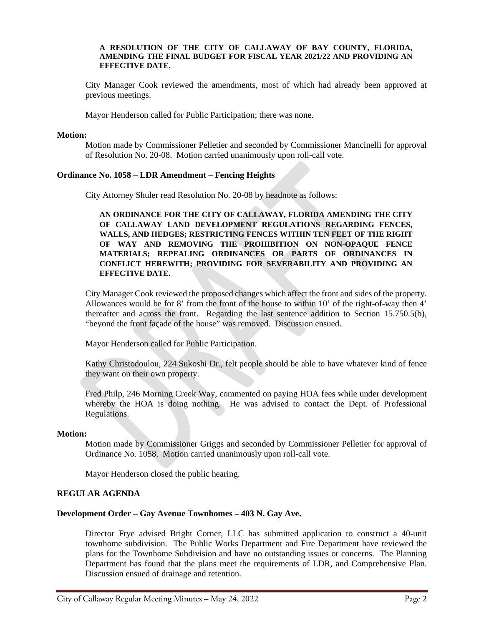#### **A RESOLUTION OF THE CITY OF CALLAWAY OF BAY COUNTY, FLORIDA, AMENDING THE FINAL BUDGET FOR FISCAL YEAR 2021/22 AND PROVIDING AN EFFECTIVE DATE.**

City Manager Cook reviewed the amendments, most of which had already been approved at previous meetings.

Mayor Henderson called for Public Participation; there was none.

#### **Motion:**

Motion made by Commissioner Pelletier and seconded by Commissioner Mancinelli for approval of Resolution No. 20-08. Motion carried unanimously upon roll-call vote.

## **Ordinance No. 1058 – LDR Amendment – Fencing Heights**

City Attorney Shuler read Resolution No. 20-08 by headnote as follows:

**AN ORDINANCE FOR THE CITY OF CALLAWAY, FLORIDA AMENDING THE CITY OF CALLAWAY LAND DEVELOPMENT REGULATIONS REGARDING FENCES, WALLS, AND HEDGES; RESTRICTING FENCES WITHIN TEN FEET OF THE RIGHT OF WAY AND REMOVING THE PROHIBITION ON NON-OPAQUE FENCE MATERIALS; REPEALING ORDINANCES OR PARTS OF ORDINANCES IN CONFLICT HEREWITH; PROVIDING FOR SEVERABILITY AND PROVIDING AN EFFECTIVE DATE.**

City Manager Cook reviewed the proposed changes which affect the front and sides of the property. Allowances would be for 8' from the front of the house to within 10' of the right-of-way then 4' thereafter and across the front. Regarding the last sentence addition to Section 15.750.5(b), "beyond the front façade of the house" was removed. Discussion ensued.

Mayor Henderson called for Public Participation.

Kathy Christodoulou, 224 Sukoshi Dr., felt people should be able to have whatever kind of fence they want on their own property.

Fred Philp, 246 Morning Creek Way, commented on paying HOA fees while under development whereby the HOA is doing nothing. He was advised to contact the Dept. of Professional Regulations.

#### **Motion:**

Motion made by Commissioner Griggs and seconded by Commissioner Pelletier for approval of Ordinance No. 1058. Motion carried unanimously upon roll-call vote.

Mayor Henderson closed the public hearing.

# **REGULAR AGENDA**

# **Development Order – Gay Avenue Townhomes – 403 N. Gay Ave.**

Director Frye advised Bright Corner, LLC has submitted application to construct a 40-unit townhome subdivision. The Public Works Department and Fire Department have reviewed the plans for the Townhome Subdivision and have no outstanding issues or concerns. The Planning Department has found that the plans meet the requirements of LDR, and Comprehensive Plan. Discussion ensued of drainage and retention.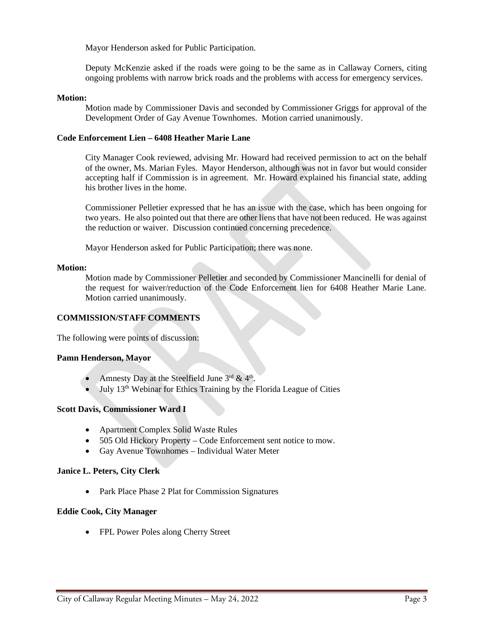Mayor Henderson asked for Public Participation.

Deputy McKenzie asked if the roads were going to be the same as in Callaway Corners, citing ongoing problems with narrow brick roads and the problems with access for emergency services.

# **Motion:**

Motion made by Commissioner Davis and seconded by Commissioner Griggs for approval of the Development Order of Gay Avenue Townhomes. Motion carried unanimously.

## **Code Enforcement Lien – 6408 Heather Marie Lane**

City Manager Cook reviewed, advising Mr. Howard had received permission to act on the behalf of the owner, Ms. Marian Fyles. Mayor Henderson, although was not in favor but would consider accepting half if Commission is in agreement. Mr. Howard explained his financial state, adding his brother lives in the home.

Commissioner Pelletier expressed that he has an issue with the case, which has been ongoing for two years. He also pointed out that there are other liens that have not been reduced. He was against the reduction or waiver. Discussion continued concerning precedence.

Mayor Henderson asked for Public Participation; there was none.

#### **Motion:**

Motion made by Commissioner Pelletier and seconded by Commissioner Mancinelli for denial of the request for waiver/reduction of the Code Enforcement lien for 6408 Heather Marie Lane. Motion carried unanimously.

# **COMMISSION/STAFF COMMENTS**

The following were points of discussion:

#### **Pamn Henderson, Mayor**

- Amnesty Day at the Steelfield June  $3^{rd}$  &  $4^{th}$ .
- $\bullet$  July 13<sup>th</sup> Webinar for Ethics Training by the Florida League of Cities

## **Scott Davis, Commissioner Ward I**

- Apartment Complex Solid Waste Rules
- 505 Old Hickory Property Code Enforcement sent notice to mow.
- Gay Avenue Townhomes Individual Water Meter

#### **Janice L. Peters, City Clerk**

• Park Place Phase 2 Plat for Commission Signatures

## **Eddie Cook, City Manager**

• FPL Power Poles along Cherry Street